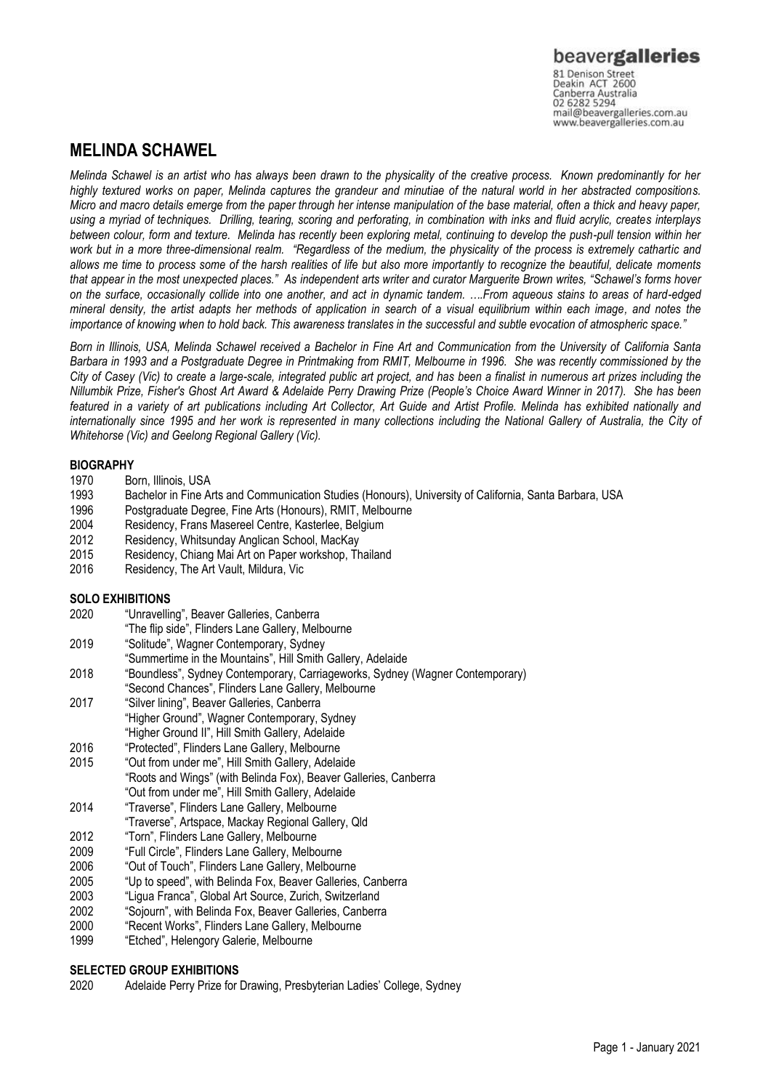www.beavergalleries.com.au

## **MELINDA SCHAWEL**

*Melinda Schawel is an artist who has always been drawn to the physicality of the creative process. Known predominantly for her highly textured works on paper, Melinda captures the grandeur and minutiae of the natural world in her abstracted compositions. Micro and macro details emerge from the paper through her intense manipulation of the base material, often a thick and heavy paper, using a myriad of techniques. Drilling, tearing, scoring and perforating, in combination with inks and fluid acrylic, creates interplays between colour, form and texture. Melinda has recently been exploring metal, continuing to develop the push-pull tension within her work but in a more three-dimensional realm. "Regardless of the medium, the physicality of the process is extremely cathartic and allows me time to process some of the harsh realities of life but also more importantly to recognize the beautiful, delicate moments that appear in the most unexpected places." As independent arts writer and curator Marguerite Brown writes, "Schawel's forms hover on the surface, occasionally collide into one another, and act in dynamic tandem. ….From aqueous stains to areas of hard-edged mineral density, the artist adapts her methods of application in search of a visual equilibrium within each image, and notes the importance of knowing when to hold back. This awareness translates in the successful and subtle evocation of atmospheric space."*

*Born in Illinois, USA, Melinda Schawel received a Bachelor in Fine Art and Communication from the University of California Santa Barbara in 1993 and a Postgraduate Degree in Printmaking from RMIT, Melbourne in 1996. She was recently commissioned by the City of Casey (Vic) to create a large-scale, integrated public art project, and has been a finalist in numerous art prizes including the Nillumbik Prize, Fisher's Ghost Art Award & Adelaide Perry Drawing Prize (People's Choice Award Winner in 2017). She has been featured in a variety of art publications including Art Collector, Art Guide and Artist Profile. Melinda has exhibited nationally and*  internationally since 1995 and her work is represented in many collections including the National Gallery of Australia, the City of *Whitehorse (Vic) and Geelong Regional Gallery (Vic).*

### **BIOGRAPHY**

- 1970 Born, Illinois, USA
- 1993 Bachelor in Fine Arts and Communication Studies (Honours), University of California, Santa Barbara, USA<br>1996 Postgraduate Degree, Fine Arts (Honours), RMIT, Melbourne
- 1996 Postgraduate Degree, Fine Arts (Honours), RMIT, Melbourne
- Residency, Frans Masereel Centre, Kasterlee, Belgium
- 2012 Residency, Whitsunday Anglican School, MacKay
- 2015 Residency, Chiang Mai Art on Paper workshop, Thailand
- 2016 Residency, The Art Vault, Mildura, Vic

### **SOLO EXHIBITIONS**

- 2020 "Unravelling", Beaver Galleries, Canberra
- "The flip side", Flinders Lane Gallery, Melbourne
- 2019 "Solitude", Wagner Contemporary, Sydney
- "Summertime in the Mountains", Hill Smith Gallery, Adelaide
- 2018 "Boundless", Sydney Contemporary, Carriageworks, Sydney (Wagner Contemporary)
- "Second Chances", Flinders Lane Gallery, Melbourne<br>
2017 "Silver lining". Beaver Galleries. Canberra
- "Silver lining", Beaver Galleries, Canberra "Higher Ground", Wagner Contemporary, Sydney
- "Higher Ground II", Hill Smith Gallery, Adelaide
- 2016 "Protected", Flinders Lane Gallery, Melbourne
- 2015 "Out from under me", Hill Smith Gallery, Adelaide "Roots and Wings" (with Belinda Fox), Beaver Galleries, Canberra "Out from under me", Hill Smith Gallery, Adelaide
- 2014 "Traverse", Flinders Lane Gallery, Melbourne
- "Traverse", Artspace, Mackay Regional Gallery, Qld
- 2012 "Torn", Flinders Lane Gallery, Melbourne
- 2009 "Full Circle", Flinders Lane Gallery, Melbourne
- 2006 "Out of Touch", Flinders Lane Gallery, Melbourne
- 2005 "Up to speed", with Belinda Fox, Beaver Galleries, Canberra
- 2003 "Ligua Franca", Global Art Source, Zurich, Switzerland
- 2002 "Sojourn", with Belinda Fox, Beaver Galleries, Canberra
- 2000 "Recent Works", Flinders Lane Gallery, Melbourne
- 1999 "Etched", Helengory Galerie, Melbourne

### **SELECTED GROUP EXHIBITIONS**

2020 Adelaide Perry Prize for Drawing, Presbyterian Ladies' College, Sydney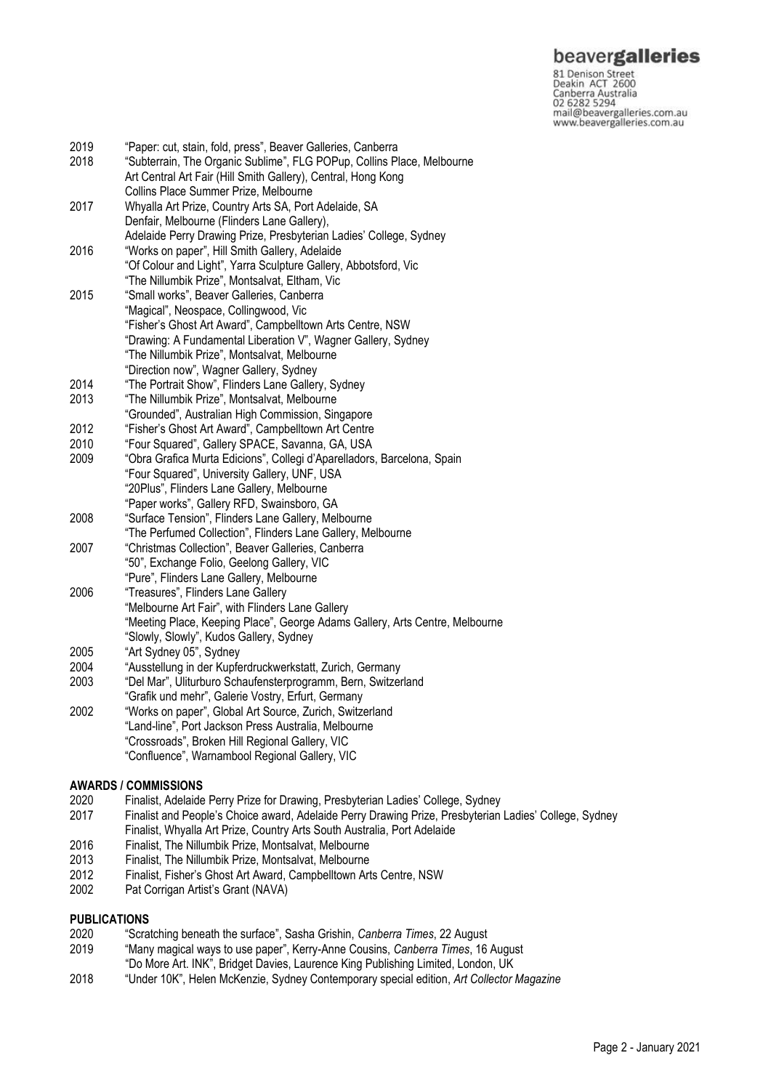# beavergalleries

Particularly Density<br>Deakin ACT 2600<br>Canberra Australia<br>20 6282 5294<br>Manus beavergalleries.com.au www.beavergalleries.com.au

| 2019<br>2018 | "Paper: cut, stain, fold, press", Beaver Galleries, Canberra<br>"Subterrain, The Organic Sublime", FLG POPup, Collins Place, Melbourne |
|--------------|----------------------------------------------------------------------------------------------------------------------------------------|
|              | Art Central Art Fair (Hill Smith Gallery), Central, Hong Kong                                                                          |
|              | Collins Place Summer Prize, Melbourne                                                                                                  |
| 2017         | Whyalla Art Prize, Country Arts SA, Port Adelaide, SA                                                                                  |
|              | Denfair, Melbourne (Flinders Lane Gallery),                                                                                            |
|              | Adelaide Perry Drawing Prize, Presbyterian Ladies' College, Sydney                                                                     |
| 2016         | "Works on paper", Hill Smith Gallery, Adelaide<br>"Of Colour and Light", Yarra Sculpture Gallery, Abbotsford, Vic                      |
|              | "The Nillumbik Prize", Montsalvat, Eltham, Vic                                                                                         |
| 2015         | "Small works", Beaver Galleries, Canberra                                                                                              |
|              | "Magical", Neospace, Collingwood, Vic                                                                                                  |
|              | "Fisher's Ghost Art Award", Campbelltown Arts Centre, NSW                                                                              |
|              | "Drawing: A Fundamental Liberation V", Wagner Gallery, Sydney                                                                          |
|              | "The Nillumbik Prize", Montsalvat, Melbourne                                                                                           |
|              | "Direction now", Wagner Gallery, Sydney                                                                                                |
| 2014         | "The Portrait Show", Flinders Lane Gallery, Sydney                                                                                     |
| 2013         | "The Nillumbik Prize", Montsalvat, Melbourne                                                                                           |
|              | "Grounded", Australian High Commission, Singapore                                                                                      |
| 2012         | "Fisher's Ghost Art Award", Campbelltown Art Centre                                                                                    |
| 2010         | "Four Squared", Gallery SPACE, Savanna, GA, USA                                                                                        |
| 2009         | "Obra Grafica Murta Edicions", Collegi d'Aparelladors, Barcelona, Spain                                                                |
|              | "Four Squared", University Gallery, UNF, USA                                                                                           |
|              | "20Plus", Flinders Lane Gallery, Melbourne                                                                                             |
|              | "Paper works", Gallery RFD, Swainsboro, GA                                                                                             |
| 2008         | "Surface Tension", Flinders Lane Gallery, Melbourne                                                                                    |
|              | "The Perfumed Collection", Flinders Lane Gallery, Melbourne                                                                            |
| 2007         | "Christmas Collection", Beaver Galleries, Canberra<br>"50", Exchange Folio, Geelong Gallery, VIC                                       |
|              | "Pure", Flinders Lane Gallery, Melbourne                                                                                               |
| 2006         | "Treasures", Flinders Lane Gallery                                                                                                     |
|              | "Melbourne Art Fair", with Flinders Lane Gallery                                                                                       |
|              | "Meeting Place, Keeping Place", George Adams Gallery, Arts Centre, Melbourne                                                           |
|              | "Slowly, Slowly", Kudos Gallery, Sydney                                                                                                |
| 2005         | "Art Sydney 05", Sydney                                                                                                                |
| 2004         | "Ausstellung in der Kupferdruckwerkstatt, Zurich, Germany                                                                              |
| 2003         | "Del Mar", Uliturburo Schaufensterprogramm, Bern, Switzerland                                                                          |
|              | "Grafik und mehr", Galerie Vostry, Erfurt, Germany                                                                                     |
| 2002         | "Works on paper", Global Art Source, Zurich, Switzerland                                                                               |
|              | "Land-line", Port Jackson Press Australia, Melbourne                                                                                   |
|              | "Crossroads", Broken Hill Regional Gallery, VIC                                                                                        |
|              | "Confluence", Warnambool Regional Gallery, VIC                                                                                         |
|              |                                                                                                                                        |

# **AWARDS / COMMISSIONS**

- 2020 Finalist, Adelaide Perry Prize for Drawing, Presbyterian Ladies' College, Sydney
- 2017 Finalist and People's Choice award, Adelaide Perry Drawing Prize, Presbyterian Ladies' College, Sydney Finalist, Whyalla Art Prize, Country Arts South Australia, Port Adelaide
- 2016 Finalist, The Nillumbik Prize, Montsalvat, Melbourne
- 2013 Finalist, The Nillumbik Prize, Montsalvat, Melbourne
- 2012 Finalist, Fisher's Ghost Art Award, Campbelltown Arts Centre, NSW
- 2002 Pat Corrigan Artist's Grant (NAVA)

### **PUBLICATIONS**

- 2020 "Scratching beneath the surface", Sasha Grishin, *Canberra Times*, 22 August
- 2019 "Many magical ways to use paper", Kerry-Anne Cousins, *Canberra Times*, 16 August "Do More Art. INK", Bridget Davies, Laurence King Publishing Limited, London, UK
- 2018 "Under 10K", Helen McKenzie, Sydney Contemporary special edition, *Art Collector Magazine*